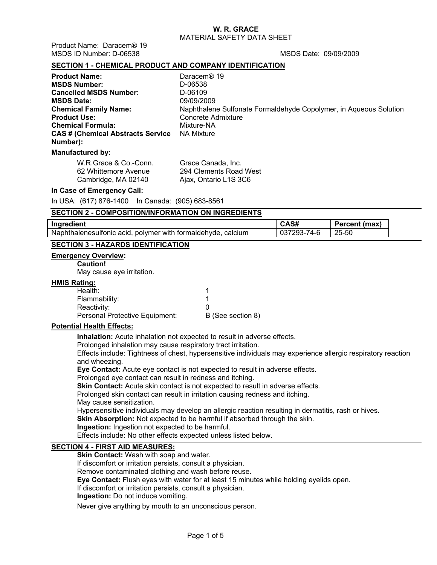Product Name: Daracem® 19 MSDS ID Number: D-06538 MSDS Date: 09/09/2009

### **SECTION 1 - CHEMICAL PRODUCT AND COMPANY IDENTIFICATION**

| Naphthalene Sulfonate Formaldehyde Copolymer, in Aqueous Solution |
|-------------------------------------------------------------------|
|                                                                   |
|                                                                   |
|                                                                   |
|                                                                   |
|                                                                   |

#### **Manufactured by:**

| W.R.Grace & Co.-Conn. | Grace Canada, Inc.     |
|-----------------------|------------------------|
| 62 Whittemore Avenue  | 294 Clements Road West |
| Cambridge, MA 02140   | Ajax, Ontario L1S 3C6  |

#### **In Case of Emergency Call:**

In USA: (617) 876-1400 In Canada: (905) 683-8561

### **SECTION 2 - COMPOSITION/INFORMATION ON INGREDIENTS**

| dient.<br>Ing                                                          | אכם.                          | (max) |
|------------------------------------------------------------------------|-------------------------------|-------|
| Naph<br>calcium<br>polymer with formaldehyde.<br>thalenesulfonic acid. | .<br>74-h<br>┒- /<br>$\cdots$ | 25-50 |

## **SECTION 3 - HAZARDS IDENTIFICATION**

#### **Emergency Overview:**

### **Caution!**

May cause eye irritation.

#### **HMIS Rating:**

| B (See section 8) |
|-------------------|
|                   |

#### **Potential Health Effects:**

**Inhalation:** Acute inhalation not expected to result in adverse effects.

Prolonged inhalation may cause respiratory tract irritation.

Effects include: Tightness of chest, hypersensitive individuals may experience allergic respiratory reaction and wheezing.

**Eye Contact:** Acute eye contact is not expected to result in adverse effects.

Prolonged eye contact can result in redness and itching.

**Skin Contact:** Acute skin contact is not expected to result in adverse effects.

Prolonged skin contact can result in irritation causing redness and itching.

May cause sensitization.

Hypersensitive individuals may develop an allergic reaction resulting in dermatitis, rash or hives.

**Skin Absorption:** Not expected to be harmful if absorbed through the skin.

**Ingestion:** Ingestion not expected to be harmful.

Effects include: No other effects expected unless listed below.

## **SECTION 4 - FIRST AID MEASURES:**

**Skin Contact:** Wash with soap and water.

If discomfort or irritation persists, consult a physician.

Remove contaminated clothing and wash before reuse.

**Eye Contact:** Flush eyes with water for at least 15 minutes while holding eyelids open.

If discomfort or irritation persists, consult a physician.

**Ingestion:** Do not induce vomiting.

Never give anything by mouth to an unconscious person.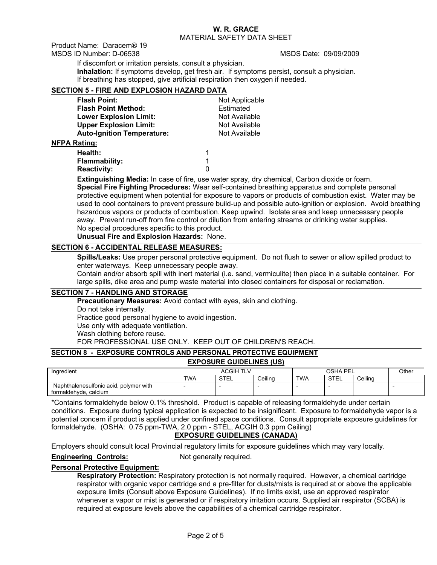Product Name: Daracem® 19 MSDS ID Number: D-06538 MSDS Date: 09/09/2009

If discomfort or irritation persists, consult a physician.

**Inhalation:** If symptoms develop, get fresh air. If symptoms persist, consult a physician. If breathing has stopped, give artificial respiration then oxygen if needed. **SECTION 5 - FIRE AND EXPLOSION HAZARD DATA**

| SECTION 5 - FIRE AND EXPLOSION HAZARD DATA |                |
|--------------------------------------------|----------------|
| <b>Flash Point:</b>                        | Not Applicable |
| <b>Flash Point Method:</b>                 | Estimated      |
| <b>Lower Explosion Limit:</b>              | Not Available  |
| <b>Upper Explosion Limit:</b>              | Not Available  |
| <b>Auto-Ignition Temperature:</b>          | Not Available  |
| <b>NFPA Rating:</b>                        |                |
| Health:                                    | 1              |
| <b>Flammability:</b>                       | 1              |
| <b>Reactivity:</b>                         | 0              |

**Extinguishing Media:** In case of fire, use water spray, dry chemical, Carbon dioxide or foam. **Special Fire Fighting Procedures:** Wear self-contained breathing apparatus and complete personal protective equipment when potential for exposure to vapors or products of combustion exist. Water may be used to cool containers to prevent pressure build-up and possible auto-ignition or explosion. Avoid breathing hazardous vapors or products of combustion. Keep upwind. Isolate area and keep unnecessary people away. Prevent run-off from fire control or dilution from entering streams or drinking water supplies. No special procedures specific to this product.

**Unusual Fire and Explosion Hazards:** None.

# **SECTION 6 - ACCIDENTAL RELEASE MEASURES:**

**Spills/Leaks:** Use proper personal protective equipment. Do not flush to sewer or allow spilled product to enter waterways. Keep unnecessary people away.

Contain and/or absorb spill with inert material (i.e. sand, vermiculite) then place in a suitable container. For large spills, dike area and pump waste material into closed containers for disposal or reclamation.

#### **SECTION 7 - HANDLING AND STORAGE**

**Precautionary Measures:** Avoid contact with eyes, skin and clothing. Do not take internally. Practice good personal hygiene to avoid ingestion. Use only with adequate ventilation. Wash clothing before reuse. FOR PROFESSIONAL USE ONLY. KEEP OUT OF CHILDREN'S REACH.

## **SECTION 8 - EXPOSURE CONTROLS AND PERSONAL PROTECTIVE EQUIPMENT**

**EXPOSURE GUIDELINES (US)**

| Ingredient                             | ACGIH TL'  |             |         | OSHA<br>PF |      |         | Other |
|----------------------------------------|------------|-------------|---------|------------|------|---------|-------|
|                                        | <b>TWA</b> | <b>STEL</b> | Ceilina | <b>TWA</b> | STEL | Ceilina |       |
| Naphthalenesulfonic acid, polymer with |            |             |         |            |      |         |       |
| formaldehyde.<br>. calcium             |            |             |         |            |      |         |       |

\*Contains formaldehyde below 0.1% threshold. Product is capable of releasing formaldehyde under certain conditions. Exposure during typical application is expected to be insignificant. Exposure to formaldehyde vapor is a potential concern if product is applied under confined space conditions. Consult appropriate exposure guidelines for formaldehyde. (OSHA: 0.75 ppm-TWA, 2.0 ppm - STEL, ACGIH 0.3 ppm Ceiling)

# **EXPOSURE GUIDELINES (CANADA)**

Employers should consult local Provincial regulatory limits for exposure guidelines which may vary locally.

## **Engineering Controls:** Not generally required.

## **Personal Protective Equipment:**

**Respiratory Protection:** Respiratory protection is not normally required. However, a chemical cartridge respirator with organic vapor cartridge and a pre-filter for dusts/mists is required at or above the applicable exposure limits (Consult above Exposure Guidelines). If no limits exist, use an approved respirator whenever a vapor or mist is generated or if respiratory irritation occurs. Supplied air respirator (SCBA) is required at exposure levels above the capabilities of a chemical cartridge respirator.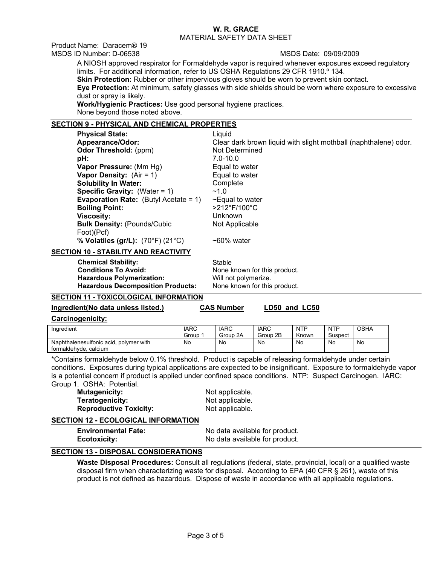Product Name: Daracem® 19 MSDS ID Number: D-06538 MSDS Date: 09/09/2009

A NIOSH approved respirator for Formaldehyde vapor is required whenever exposures exceed regulatory limits. For additional information, refer to US OSHA Regulations 29 CFR 1910.º 134. **Skin Protection:** Rubber or other impervious gloves should be worn to prevent skin contact. **Eye Protection:** At minimum, safety glasses with side shields should be worn where exposure to excessive dust or spray is likely. **Work/Hygienic Practices:** Use good personal hygiene practices.

None beyond those noted above.

## **SECTION 9 - PHYSICAL AND CHEMICAL PROPERTIES**

| <b>Physical State:</b>                          | Liquid                                                           |
|-------------------------------------------------|------------------------------------------------------------------|
| Appearance/Odor:                                | Clear dark brown liquid with slight mothball (naphthalene) odor. |
| Odor Threshold: (ppm)                           | Not Determined                                                   |
| pH:                                             | $7.0 - 10.0$                                                     |
| Vapor Pressure: (Mm Hg)                         | Equal to water                                                   |
| <b>Vapor Density:</b> $(Air = 1)$               | Equal to water                                                   |
| <b>Solubility In Water:</b>                     | Complete                                                         |
| <b>Specific Gravity:</b> (Water = $1$ )         | ~1.0                                                             |
| <b>Evaporation Rate:</b> (Butyl Acetate = $1$ ) | $\sim$ Equal to water                                            |
| <b>Boiling Point:</b>                           | $>212^{\circ}$ F/100 $^{\circ}$ C                                |
| <b>Viscosity:</b>                               | Unknown                                                          |
| <b>Bulk Density: (Pounds/Cubic)</b>             | Not Applicable                                                   |
| Foot)(Pcf)                                      |                                                                  |
| % Volatiles (gr/L): (70°F) (21°C)               | $~50\%$ water                                                    |

#### **SECTION 10 - STABILITY AND REACTIVITY**

| <b>Chemical Stability:</b>               | Stable                       |
|------------------------------------------|------------------------------|
| <b>Conditions To Avoid:</b>              | None known for this product. |
| <b>Hazardous Polymerization:</b>         | Will not polymerize.         |
| <b>Hazardous Decomposition Products:</b> | None known for this product. |

## **SECTION 11 - TOXICOLOGICAL INFORMATION**

**Ingredient(No data unless listed.) CAS Number LD50 and LC50**

#### **Carcinogenicity:**

| Ingredient                                                      | <b>IARC</b><br>Group | <b>IARC</b><br>Group 2A | <b>IARC</b><br>Group 2B | <b>NTP</b><br>Known | <b>NTP</b><br>Suspect | OSHA |
|-----------------------------------------------------------------|----------------------|-------------------------|-------------------------|---------------------|-----------------------|------|
| Naphthalenesulfonic acid, polymer with<br>formaldehyde, calcium | No                   | No                      | No                      | No                  | No                    | No   |

\*Contains formaldehyde below 0.1% threshold. Product is capable of releasing formaldehyde under certain conditions. Exposures during typical applications are expected to be insignificant. Exposure to formaldehyde vapor is a potential concern if product is applied under confined space conditions. NTP: Suspect Carcinogen. IARC: Group 1. OSHA: Potential.

**Mutagenicity:** Not applicable. **Teratogenicity:** Not applicable. **Reproductive Toxicity:** Not applicable.

## **SECTION 12 - ECOLOGICAL INFORMATION**

**Environmental Fate:** No data available for product. **Ecotoxicity:** No data available for product.

## **SECTION 13 - DISPOSAL CONSIDERATIONS**

**Waste Disposal Procedures:** Consult all regulations (federal, state, provincial, local) or a qualified waste disposal firm when characterizing waste for disposal. According to EPA (40 CFR § 261), waste of this product is not defined as hazardous. Dispose of waste in accordance with all applicable regulations.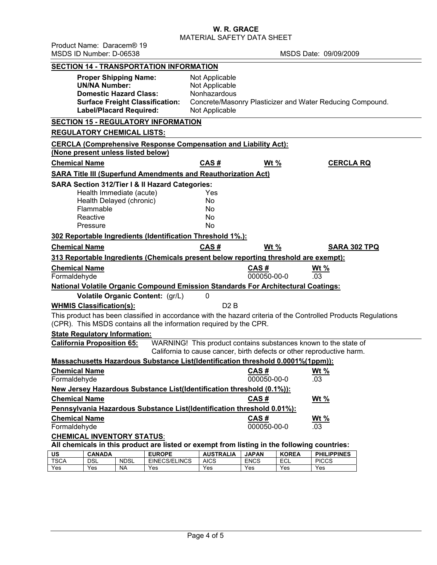**W. R. GRACE** 

MATERIAL SAFETY DATA SHEET

|                                                                                                                                                                                      | Product Name: Daracem® 19<br>MSDS ID Number: D-06538                                                                    |             |                                                                                          |                                                                    |                             |                            | MSDS Date: 09/09/2009                                           |  |
|--------------------------------------------------------------------------------------------------------------------------------------------------------------------------------------|-------------------------------------------------------------------------------------------------------------------------|-------------|------------------------------------------------------------------------------------------|--------------------------------------------------------------------|-----------------------------|----------------------------|-----------------------------------------------------------------|--|
|                                                                                                                                                                                      |                                                                                                                         |             | <b>SECTION 14 - TRANSPORTATION INFORMATION</b>                                           |                                                                    |                             |                            |                                                                 |  |
|                                                                                                                                                                                      | <b>Proper Shipping Name:</b><br><b>UN/NA Number:</b><br><b>Domestic Hazard Class:</b><br><b>Label/Placard Required:</b> |             | <b>Surface Freight Classification:</b>                                                   | Not Applicable<br>Not Applicable<br>Nonhazardous<br>Not Applicable |                             |                            | Concrete/Masonry Plasticizer and Water Reducing Compound.       |  |
|                                                                                                                                                                                      | <b>REGULATORY CHEMICAL LISTS:</b>                                                                                       |             | <b>SECTION 15 - REGULATORY INFORMATION</b>                                               |                                                                    |                             |                            |                                                                 |  |
|                                                                                                                                                                                      | (None present unless listed below)                                                                                      |             | <b>CERCLA (Comprehensive Response Compensation and Liability Act):</b>                   |                                                                    |                             |                            |                                                                 |  |
| <b>Chemical Name</b>                                                                                                                                                                 |                                                                                                                         |             |                                                                                          | CAS#                                                               | Wt $%$                      |                            | <b>CERCLA RQ</b>                                                |  |
|                                                                                                                                                                                      |                                                                                                                         |             | <b>SARA Title III (Superfund Amendments and Reauthorization Act)</b>                     |                                                                    |                             |                            |                                                                 |  |
|                                                                                                                                                                                      |                                                                                                                         |             | <b>SARA Section 312/Tier I &amp; II Hazard Categories:</b>                               |                                                                    |                             |                            |                                                                 |  |
|                                                                                                                                                                                      | Health Immediate (acute)                                                                                                |             |                                                                                          | Yes                                                                |                             |                            |                                                                 |  |
|                                                                                                                                                                                      | Health Delayed (chronic)                                                                                                |             |                                                                                          | No                                                                 |                             |                            |                                                                 |  |
|                                                                                                                                                                                      | Flammable                                                                                                               |             |                                                                                          | No                                                                 |                             |                            |                                                                 |  |
|                                                                                                                                                                                      | Reactive                                                                                                                |             |                                                                                          | No                                                                 |                             |                            |                                                                 |  |
|                                                                                                                                                                                      | Pressure                                                                                                                |             |                                                                                          | N <sub>o</sub>                                                     |                             |                            |                                                                 |  |
|                                                                                                                                                                                      |                                                                                                                         |             | 302 Reportable Ingredients (Identification Threshold 1%.):                               |                                                                    |                             |                            |                                                                 |  |
| <b>Chemical Name</b>                                                                                                                                                                 |                                                                                                                         |             |                                                                                          | CAS#                                                               | Wt $%$                      |                            | <b>SARA 302 TPQ</b>                                             |  |
|                                                                                                                                                                                      |                                                                                                                         |             | 313 Reportable Ingredients (Chemicals present below reporting threshold are exempt):     |                                                                    |                             |                            |                                                                 |  |
| <b>Chemical Name</b><br>Formaldehyde                                                                                                                                                 |                                                                                                                         |             |                                                                                          |                                                                    | CAS#<br>000050-00-0         |                            | Wt $%$<br>.03                                                   |  |
|                                                                                                                                                                                      |                                                                                                                         |             | <b>National Volatile Organic Compound Emission Standards For Architectural Coatings:</b> |                                                                    |                             |                            |                                                                 |  |
|                                                                                                                                                                                      |                                                                                                                         |             | Volatile Organic Content: (gr/L)                                                         | 0                                                                  |                             |                            |                                                                 |  |
|                                                                                                                                                                                      | <b>WHMIS Classification(s):</b>                                                                                         |             |                                                                                          | D2B                                                                |                             |                            |                                                                 |  |
|                                                                                                                                                                                      |                                                                                                                         |             |                                                                                          |                                                                    |                             |                            |                                                                 |  |
| This product has been classified in accordance with the hazard criteria of the Controlled Products Regulations<br>(CPR). This MSDS contains all the information required by the CPR. |                                                                                                                         |             |                                                                                          |                                                                    |                             |                            |                                                                 |  |
| <b>State Regulatory Information:</b>                                                                                                                                                 |                                                                                                                         |             |                                                                                          |                                                                    |                             |                            |                                                                 |  |
|                                                                                                                                                                                      | <b>California Proposition 65:</b>                                                                                       |             |                                                                                          |                                                                    |                             |                            | WARNING! This product contains substances known to the state of |  |
| California to cause cancer, birth defects or other reproductive harm.<br>Massachusetts Hazardous Substance List(Identification threshold 0.0001%(1ppm)):                             |                                                                                                                         |             |                                                                                          |                                                                    |                             |                            |                                                                 |  |
| <b>Chemical Name</b>                                                                                                                                                                 |                                                                                                                         |             |                                                                                          |                                                                    | CAS#                        |                            | Wt $%$                                                          |  |
| Formaldehyde                                                                                                                                                                         |                                                                                                                         |             |                                                                                          |                                                                    | 000050-00-0                 |                            | .03                                                             |  |
| New Jersey Hazardous Substance List(Identification threshold (0.1%)):                                                                                                                |                                                                                                                         |             |                                                                                          |                                                                    |                             |                            |                                                                 |  |
| <b>Chemical Name</b>                                                                                                                                                                 |                                                                                                                         |             |                                                                                          |                                                                    | CAS#                        |                            | <u>Wt %</u>                                                     |  |
| Pennsylvania Hazardous Substance List(Identification threshold 0.01%):                                                                                                               |                                                                                                                         |             |                                                                                          |                                                                    |                             |                            |                                                                 |  |
|                                                                                                                                                                                      | <b>Chemical Name</b><br>CAS#<br><u>Wt %</u>                                                                             |             |                                                                                          |                                                                    |                             |                            |                                                                 |  |
| 000050-00-0<br>Formaldehyde<br>.03                                                                                                                                                   |                                                                                                                         |             |                                                                                          |                                                                    |                             |                            |                                                                 |  |
| <b>CHEMICAL INVENTORY STATUS:</b><br>All chemicals in this product are listed or exempt from listing in the following countries:                                                     |                                                                                                                         |             |                                                                                          |                                                                    |                             |                            |                                                                 |  |
|                                                                                                                                                                                      |                                                                                                                         |             |                                                                                          |                                                                    |                             |                            |                                                                 |  |
| $\overline{\mathsf{u}}$ s<br><b>TSCA</b>                                                                                                                                             | <b>CANADA</b><br><b>DSL</b>                                                                                             | <b>NDSL</b> | <b>EUROPE</b><br><b>EINECS/ELINCS</b>                                                    | <b>AUSTRALIA</b><br><b>AICS</b>                                    | <b>JAPAN</b><br><b>ENCS</b> | <b>KOREA</b><br><b>ECL</b> | <b>PHILIPPINES</b><br><b>PICCS</b>                              |  |
| Yes                                                                                                                                                                                  | Yes                                                                                                                     | <b>NA</b>   | Yes                                                                                      | Yes                                                                | Yes                         | Yes                        | Yes                                                             |  |